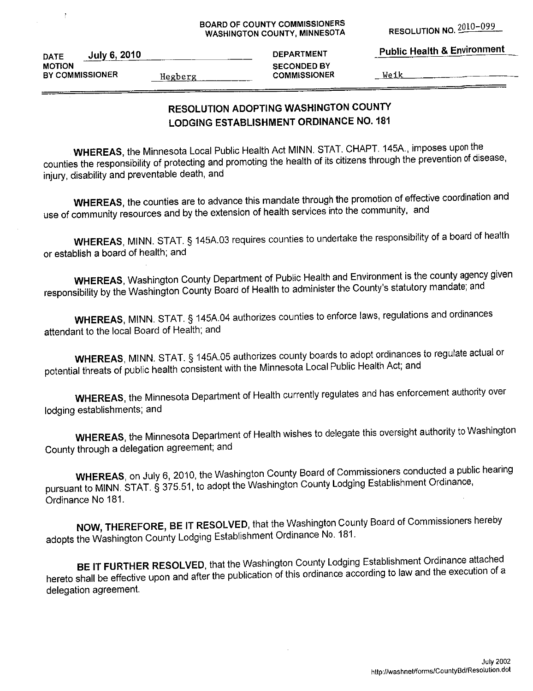**RESOLUTION NO. 2010-099** 

|  | <b>Public Health &amp; Environment</b> |
|--|----------------------------------------|
|  |                                        |

**July 6, 2010 DATE MOTION** BY COMMISSIONER

 $\ddot{\mathrm{f}}$ 

Hegberg

**DEPARTMENT SECONDED BY COMMISSIONER** 

Weik

# RESOLUTION ADOPTING WASHINGTON COUNTY **LODGING ESTABLISHMENT ORDINANCE NO. 181**

WHEREAS, the Minnesota Local Public Health Act MINN. STAT. CHAPT. 145A., imposes upon the counties the responsibility of protecting and promoting the health of its citizens through the prevention of disease, injury, disability and preventable death, and

WHEREAS, the counties are to advance this mandate through the promotion of effective coordination and use of community resources and by the extension of health services into the community, and

WHEREAS, MINN. STAT. § 145A.03 requires counties to undertake the responsibility of a board of health or establish a board of health; and

WHEREAS, Washington County Department of Public Health and Environment is the county agency given responsibility by the Washington County Board of Health to administer the County's statutory mandate; and

WHEREAS, MINN. STAT. § 145A.04 authorizes counties to enforce laws, regulations and ordinances attendant to the local Board of Health; and

WHEREAS, MINN. STAT. § 145A.05 authorizes county boards to adopt ordinances to regulate actual or potential threats of public health consistent with the Minnesota Local Public Health Act; and

WHEREAS, the Minnesota Department of Health currently regulates and has enforcement authority over lodging establishments; and

WHEREAS, the Minnesota Department of Health wishes to delegate this oversight authority to Washington County through a delegation agreement; and

WHEREAS, on July 6, 2010, the Washington County Board of Commissioners conducted a public hearing pursuant to MINN. STAT. § 375.51, to adopt the Washington County Lodging Establishment Ordinance, Ordinance No 181.

NOW, THEREFORE, BE IT RESOLVED, that the Washington County Board of Commissioners hereby adopts the Washington County Lodging Establishment Ordinance No. 181.

BE IT FURTHER RESOLVED, that the Washington County Lodging Establishment Ordinance attached hereto shall be effective upon and after the publication of this ordinance according to law and the execution of a delegation agreement.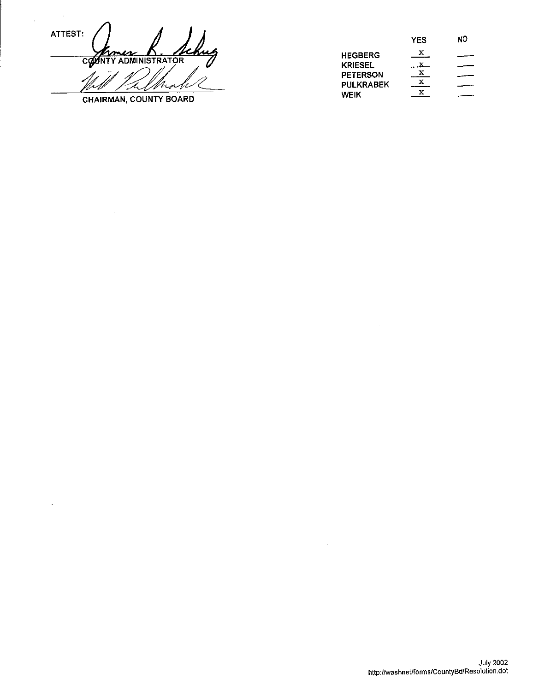ATTEST: COUNTY ADMINISTRATOR

 $\ddot{\phantom{a}}$ 

 $\overline{\phantom{a}}$ 

CHAIRMAN, COUNTY BOARD

 $\bar{\gamma}$ 

|                  | YES | NО |
|------------------|-----|----|
| <b>HEGBERG</b>   | x   |    |
| <b>KRIESEL</b>   |     |    |
| <b>PETERSON</b>  | х   |    |
| <b>PULKRABEK</b> | x   |    |
| <b>WEIK</b>      | x   |    |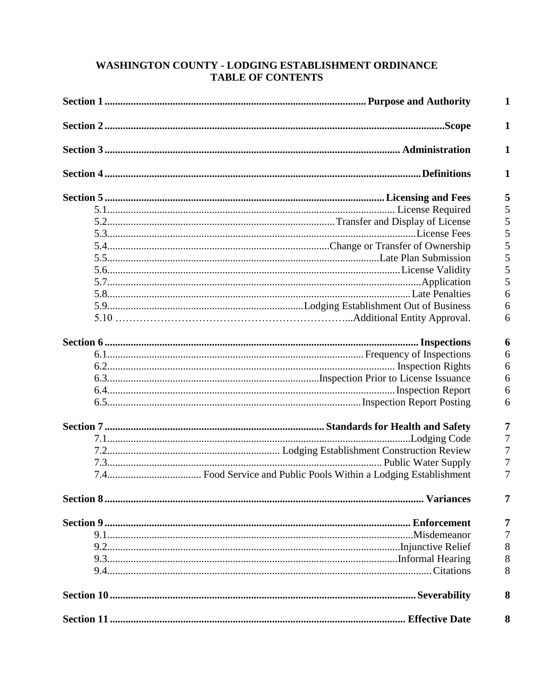## WASHINGTON COUNTY - LODGING ESTABLISHMENT ORDINANCE **TABLE OF CONTENTS**

| $\mathbf{1}$ |
|--------------|
| $\mathbf{1}$ |
| $\mathbf{1}$ |
| 1            |
| 5            |
| 5            |
| 5            |
| 5            |
| 5            |
| 5            |
| 5            |
| 5            |
| 6            |
| 6            |
| 6            |
| 6            |
| 6            |
| 6            |
| 6            |
| 6            |
| 6            |
| 7            |
| 7            |
| 7            |
| 7            |
| 7            |
| 7            |
| 7            |
| 7            |
| 8            |
| 8            |
| 8            |
| 8            |
| 8            |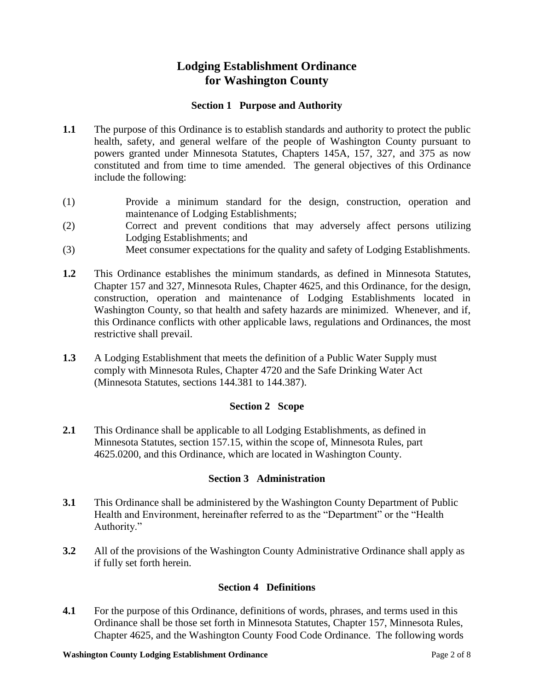# **Lodging Establishment Ordinance for Washington County**

#### **Section 1 Purpose and Authority**

- **1.1** The purpose of this Ordinance is to establish standards and authority to protect the public health, safety, and general welfare of the people of Washington County pursuant to powers granted under Minnesota Statutes, Chapters 145A, 157, 327, and 375 as now constituted and from time to time amended. The general objectives of this Ordinance include the following:
- (1) Provide a minimum standard for the design, construction, operation and maintenance of Lodging Establishments;
- (2) Correct and prevent conditions that may adversely affect persons utilizing Lodging Establishments; and
- (3) Meet consumer expectations for the quality and safety of Lodging Establishments.
- **1.2** This Ordinance establishes the minimum standards, as defined in Minnesota Statutes, Chapter 157 and 327, Minnesota Rules, Chapter 4625, and this Ordinance, for the design, construction, operation and maintenance of Lodging Establishments located in Washington County, so that health and safety hazards are minimized. Whenever, and if, this Ordinance conflicts with other applicable laws, regulations and Ordinances, the most restrictive shall prevail.
- **1.3** A Lodging Establishment that meets the definition of a Public Water Supply must comply with Minnesota Rules, Chapter 4720 and the Safe Drinking Water Act (Minnesota Statutes, sections 144.381 to 144.387).

#### **Section 2 Scope**

**2.1** This Ordinance shall be applicable to all Lodging Establishments, as defined in Minnesota Statutes, section 157.15, within the scope of, Minnesota Rules, part 4625.0200, and this Ordinance, which are located in Washington County.

#### **Section 3 Administration**

- **3.1** This Ordinance shall be administered by the Washington County Department of Public Health and Environment, hereinafter referred to as the "Department" or the "Health Authority."
- **3.2** All of the provisions of the Washington County Administrative Ordinance shall apply as if fully set forth herein.

#### **Section 4 Definitions**

**4.1** For the purpose of this Ordinance, definitions of words, phrases, and terms used in this Ordinance shall be those set forth in Minnesota Statutes, Chapter 157, Minnesota Rules, Chapter 4625, and the Washington County Food Code Ordinance. The following words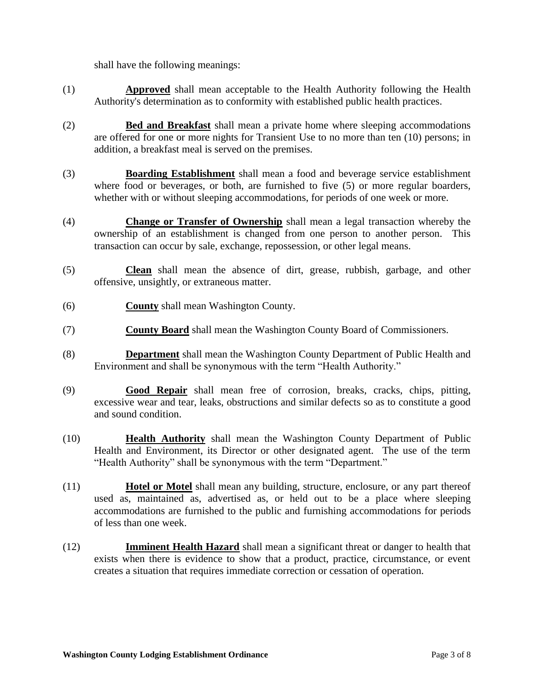shall have the following meanings:

- (1) **Approved** shall mean acceptable to the Health Authority following the Health Authority's determination as to conformity with established public health practices.
- (2) **Bed and Breakfast** shall mean a private home where sleeping accommodations are offered for one or more nights for Transient Use to no more than ten (10) persons; in addition, a breakfast meal is served on the premises.
- (3) **Boarding Establishment** shall mean a food and beverage service establishment where food or beverages, or both, are furnished to five (5) or more regular boarders, whether with or without sleeping accommodations, for periods of one week or more.
- (4) **Change or Transfer of Ownership** shall mean a legal transaction whereby the ownership of an establishment is changed from one person to another person. This transaction can occur by sale, exchange, repossession, or other legal means.
- (5) **Clean** shall mean the absence of dirt, grease, rubbish, garbage, and other offensive, unsightly, or extraneous matter.
- (6) **County** shall mean Washington County.
- (7) **County Board** shall mean the Washington County Board of Commissioners.
- (8) **Department** shall mean the Washington County Department of Public Health and Environment and shall be synonymous with the term "Health Authority."
- (9) **Good Repair** shall mean free of corrosion, breaks, cracks, chips, pitting, excessive wear and tear, leaks, obstructions and similar defects so as to constitute a good and sound condition.
- (10) **Health Authority** shall mean the Washington County Department of Public Health and Environment, its Director or other designated agent. The use of the term "Health Authority" shall be synonymous with the term "Department."
- (11) **Hotel or Motel** shall mean any building, structure, enclosure, or any part thereof used as, maintained as, advertised as, or held out to be a place where sleeping accommodations are furnished to the public and furnishing accommodations for periods of less than one week.
- (12) **Imminent Health Hazard** shall mean a significant threat or danger to health that exists when there is evidence to show that a product, practice, circumstance, or event creates a situation that requires immediate correction or cessation of operation.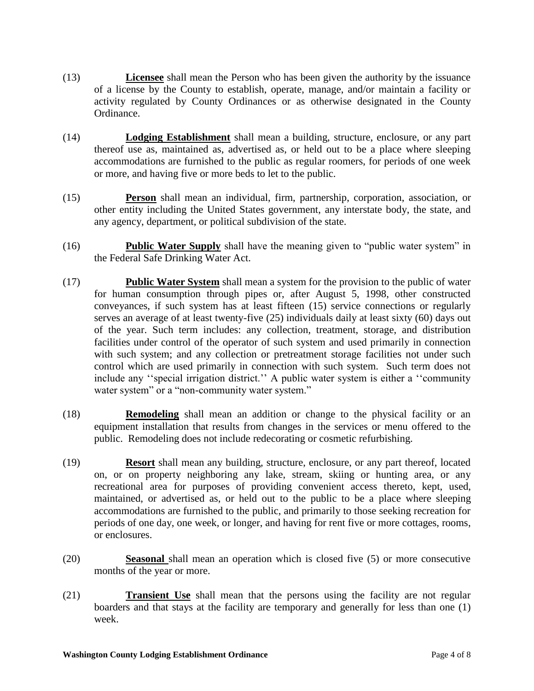- (13) **Licensee** shall mean the Person who has been given the authority by the issuance of a license by the County to establish, operate, manage, and/or maintain a facility or activity regulated by County Ordinances or as otherwise designated in the County Ordinance.
- (14) **Lodging Establishment** shall mean a building, structure, enclosure, or any part thereof use as, maintained as, advertised as, or held out to be a place where sleeping accommodations are furnished to the public as regular roomers, for periods of one week or more, and having five or more beds to let to the public.
- (15) **Person** shall mean an individual, firm, partnership, corporation, association, or other entity including the United States government, any interstate body, the state, and any agency, department, or political subdivision of the state.
- (16) **Public Water Supply** shall have the meaning given to "public water system" in the Federal Safe Drinking Water Act.
- (17) **Public Water System** shall mean a system for the provision to the public of water for human consumption through pipes or, after August 5, 1998, other constructed conveyances, if such system has at least fifteen (15) service connections or regularly serves an average of at least twenty-five (25) individuals daily at least sixty (60) days out of the year. Such term includes: any collection, treatment, storage, and distribution facilities under control of the operator of such system and used primarily in connection with such system; and any collection or pretreatment storage facilities not under such control which are used primarily in connection with such system. Such term does not include any "special irrigation district." A public water system is either a "community" water system" or a "non-community water system."
- (18) **Remodeling** shall mean an addition or change to the physical facility or an equipment installation that results from changes in the services or menu offered to the public. Remodeling does not include redecorating or cosmetic refurbishing.
- (19) **Resort** shall mean any building, structure, enclosure, or any part thereof, located on, or on property neighboring any lake, stream, skiing or hunting area, or any recreational area for purposes of providing convenient access thereto, kept, used, maintained, or advertised as, or held out to the public to be a place where sleeping accommodations are furnished to the public, and primarily to those seeking recreation for periods of one day, one week, or longer, and having for rent five or more cottages, rooms, or enclosures.
- (20) **Seasonal** shall mean an operation which is closed five (5) or more consecutive months of the year or more.
- (21) **Transient Use** shall mean that the persons using the facility are not regular boarders and that stays at the facility are temporary and generally for less than one (1) week.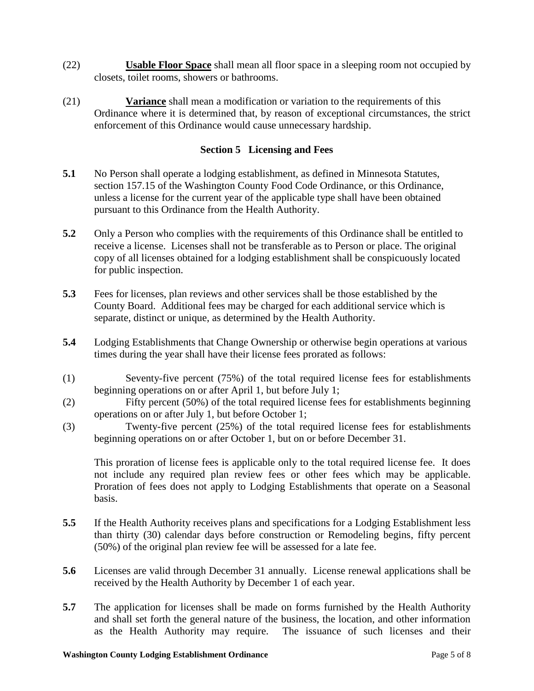- (22) **Usable Floor Space** shall mean all floor space in a sleeping room not occupied by closets, toilet rooms, showers or bathrooms.
- (21) **Variance** shall mean a modification or variation to the requirements of this Ordinance where it is determined that, by reason of exceptional circumstances, the strict enforcement of this Ordinance would cause unnecessary hardship.

#### **Section 5 Licensing and Fees**

- **5.1** No Person shall operate a lodging establishment, as defined in Minnesota Statutes, section 157.15 of the Washington County Food Code Ordinance, or this Ordinance, unless a license for the current year of the applicable type shall have been obtained pursuant to this Ordinance from the Health Authority.
- **5.2** Only a Person who complies with the requirements of this Ordinance shall be entitled to receive a license. Licenses shall not be transferable as to Person or place. The original copy of all licenses obtained for a lodging establishment shall be conspicuously located for public inspection.
- **5.3** Fees for licenses, plan reviews and other services shall be those established by the County Board. Additional fees may be charged for each additional service which is separate, distinct or unique, as determined by the Health Authority.
- **5.4** Lodging Establishments that Change Ownership or otherwise begin operations at various times during the year shall have their license fees prorated as follows:
- (1) Seventy-five percent (75%) of the total required license fees for establishments beginning operations on or after April 1, but before July 1;
- (2) Fifty percent (50%) of the total required license fees for establishments beginning operations on or after July 1, but before October 1;
- (3) Twenty-five percent (25%) of the total required license fees for establishments beginning operations on or after October 1, but on or before December 31.

This proration of license fees is applicable only to the total required license fee. It does not include any required plan review fees or other fees which may be applicable. Proration of fees does not apply to Lodging Establishments that operate on a Seasonal basis.

- **5.5** If the Health Authority receives plans and specifications for a Lodging Establishment less than thirty (30) calendar days before construction or Remodeling begins, fifty percent (50%) of the original plan review fee will be assessed for a late fee.
- **5.6** Licenses are valid through December 31 annually. License renewal applications shall be received by the Health Authority by December 1 of each year.
- **5.7** The application for licenses shall be made on forms furnished by the Health Authority and shall set forth the general nature of the business, the location, and other information as the Health Authority may require. The issuance of such licenses and their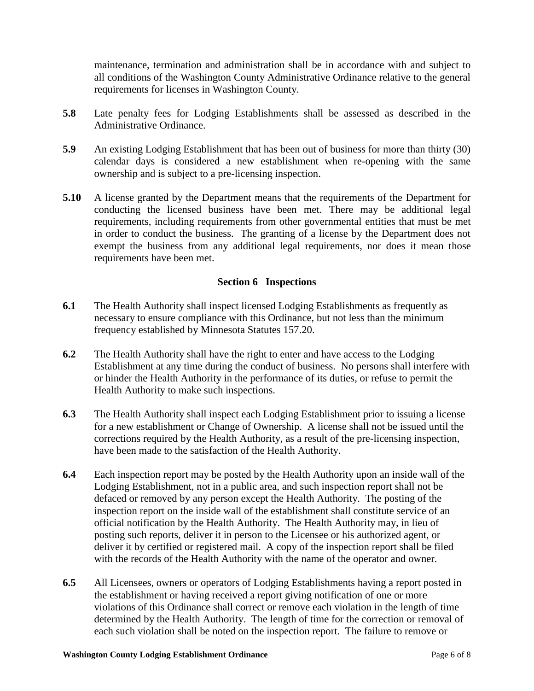maintenance, termination and administration shall be in accordance with and subject to all conditions of the Washington County Administrative Ordinance relative to the general requirements for licenses in Washington County.

- **5.8** Late penalty fees for Lodging Establishments shall be assessed as described in the Administrative Ordinance.
- **5.9** An existing Lodging Establishment that has been out of business for more than thirty (30) calendar days is considered a new establishment when re-opening with the same ownership and is subject to a pre-licensing inspection.
- **5.10** A license granted by the Department means that the requirements of the Department for conducting the licensed business have been met. There may be additional legal requirements, including requirements from other governmental entities that must be met in order to conduct the business. The granting of a license by the Department does not exempt the business from any additional legal requirements, nor does it mean those requirements have been met.

#### **Section 6 Inspections**

- **6.1** The Health Authority shall inspect licensed Lodging Establishments as frequently as necessary to ensure compliance with this Ordinance, but not less than the minimum frequency established by Minnesota Statutes 157.20.
- **6.2** The Health Authority shall have the right to enter and have access to the Lodging Establishment at any time during the conduct of business. No persons shall interfere with or hinder the Health Authority in the performance of its duties, or refuse to permit the Health Authority to make such inspections.
- **6.3** The Health Authority shall inspect each Lodging Establishment prior to issuing a license for a new establishment or Change of Ownership. A license shall not be issued until the corrections required by the Health Authority, as a result of the pre-licensing inspection, have been made to the satisfaction of the Health Authority.
- **6.4** Each inspection report may be posted by the Health Authority upon an inside wall of the Lodging Establishment, not in a public area, and such inspection report shall not be defaced or removed by any person except the Health Authority. The posting of the inspection report on the inside wall of the establishment shall constitute service of an official notification by the Health Authority. The Health Authority may, in lieu of posting such reports, deliver it in person to the Licensee or his authorized agent, or deliver it by certified or registered mail. A copy of the inspection report shall be filed with the records of the Health Authority with the name of the operator and owner.
- **6.5** All Licensees, owners or operators of Lodging Establishments having a report posted in the establishment or having received a report giving notification of one or more violations of this Ordinance shall correct or remove each violation in the length of time determined by the Health Authority. The length of time for the correction or removal of each such violation shall be noted on the inspection report. The failure to remove or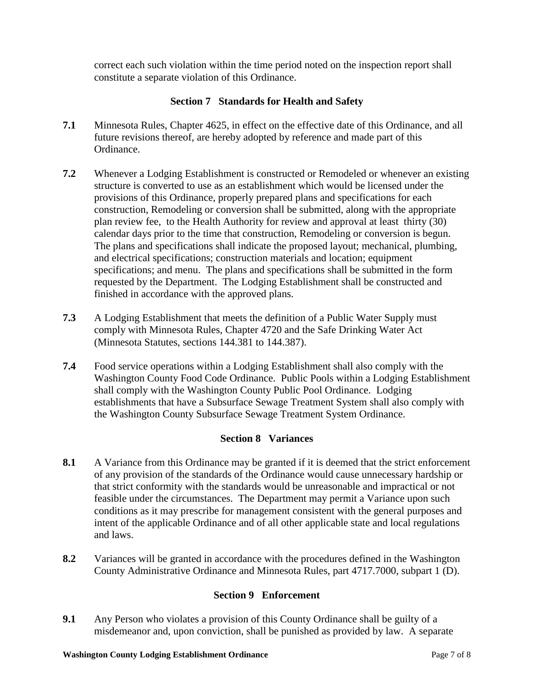correct each such violation within the time period noted on the inspection report shall constitute a separate violation of this Ordinance.

### **Section 7 Standards for Health and Safety**

- **7.1** Minnesota Rules, Chapter 4625, in effect on the effective date of this Ordinance, and all future revisions thereof, are hereby adopted by reference and made part of this Ordinance.
- **7.2** Whenever a Lodging Establishment is constructed or Remodeled or whenever an existing structure is converted to use as an establishment which would be licensed under the provisions of this Ordinance, properly prepared plans and specifications for each construction, Remodeling or conversion shall be submitted, along with the appropriate plan review fee, to the Health Authority for review and approval at least thirty (30) calendar days prior to the time that construction, Remodeling or conversion is begun. The plans and specifications shall indicate the proposed layout; mechanical, plumbing, and electrical specifications; construction materials and location; equipment specifications; and menu. The plans and specifications shall be submitted in the form requested by the Department. The Lodging Establishment shall be constructed and finished in accordance with the approved plans.
- **7.3** A Lodging Establishment that meets the definition of a Public Water Supply must comply with Minnesota Rules, Chapter 4720 and the Safe Drinking Water Act (Minnesota Statutes, sections 144.381 to 144.387).
- **7.4** Food service operations within a Lodging Establishment shall also comply with the Washington County Food Code Ordinance. Public Pools within a Lodging Establishment shall comply with the Washington County Public Pool Ordinance. Lodging establishments that have a Subsurface Sewage Treatment System shall also comply with the Washington County Subsurface Sewage Treatment System Ordinance.

## **Section 8 Variances**

- **8.1** A Variance from this Ordinance may be granted if it is deemed that the strict enforcement of any provision of the standards of the Ordinance would cause unnecessary hardship or that strict conformity with the standards would be unreasonable and impractical or not feasible under the circumstances. The Department may permit a Variance upon such conditions as it may prescribe for management consistent with the general purposes and intent of the applicable Ordinance and of all other applicable state and local regulations and laws.
- **8.2** Variances will be granted in accordance with the procedures defined in the Washington County Administrative Ordinance and Minnesota Rules, part 4717.7000, subpart 1 (D).

## **Section 9 Enforcement**

**9.1** Any Person who violates a provision of this County Ordinance shall be guilty of a misdemeanor and, upon conviction, shall be punished as provided by law. A separate